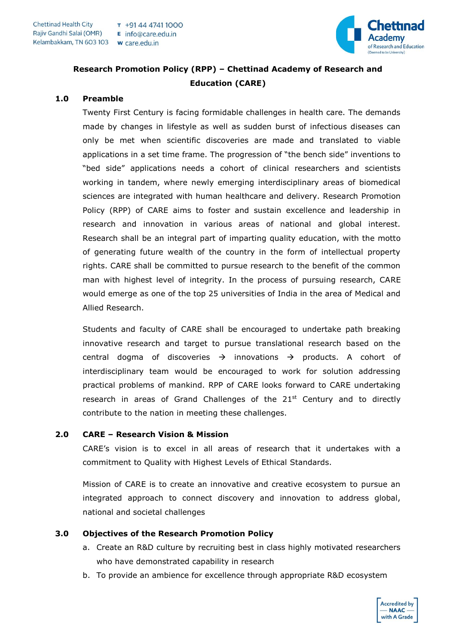

# **Research Promotion Policy (RPP) – Chettinad Academy of Research and Education (CARE)**

### **1.0 Preamble**

Twenty First Century is facing formidable challenges in health care. The demands made by changes in lifestyle as well as sudden burst of infectious diseases can only be met when scientific discoveries are made and translated to viable applications in a set time frame. The progression of "the bench side" inventions to "bed side" applications needs a cohort of clinical researchers and scientists working in tandem, where newly emerging interdisciplinary areas of biomedical sciences are integrated with human healthcare and delivery. Research Promotion Policy (RPP) of CARE aims to foster and sustain excellence and leadership in research and innovation in various areas of national and global interest. Research shall be an integral part of imparting quality education, with the motto of generating future wealth of the country in the form of intellectual property rights. CARE shall be committed to pursue research to the benefit of the common man with highest level of integrity. In the process of pursuing research, CARE would emerge as one of the top 25 universities of India in the area of Medical and Allied Research.

Students and faculty of CARE shall be encouraged to undertake path breaking innovative research and target to pursue translational research based on the central dogma of discoveries  $\rightarrow$  innovations  $\rightarrow$  products. A cohort of interdisciplinary team would be encouraged to work for solution addressing practical problems of mankind. RPP of CARE looks forward to CARE undertaking research in areas of Grand Challenges of the  $21<sup>st</sup>$  Century and to directly contribute to the nation in meeting these challenges.

#### **2.0 CARE – Research Vision & Mission**

CARE's vision is to excel in all areas of research that it undertakes with a commitment to Quality with Highest Levels of Ethical Standards.

Mission of CARE is to create an innovative and creative ecosystem to pursue an integrated approach to connect discovery and innovation to address global, national and societal challenges

## **3.0 Objectives of the Research Promotion Policy**

- a. Create an R&D culture by recruiting best in class highly motivated researchers who have demonstrated capability in research
- b. To provide an ambience for excellence through appropriate R&D ecosystem

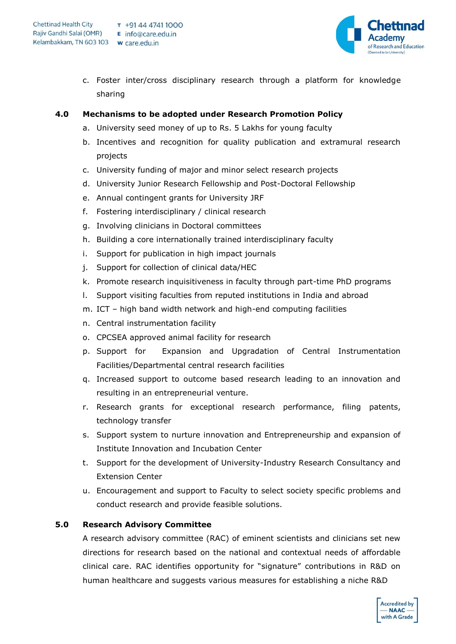

c. Foster inter/cross disciplinary research through a platform for knowledge sharing

## **4.0 Mechanisms to be adopted under Research Promotion Policy**

- a. University seed money of up to Rs. 5 Lakhs for young faculty
- b. Incentives and recognition for quality publication and extramural research projects
- c. University funding of major and minor select research projects
- d. University Junior Research Fellowship and Post-Doctoral Fellowship
- e. Annual contingent grants for University JRF
- f. Fostering interdisciplinary / clinical research
- g. Involving clinicians in Doctoral committees
- h. Building a core internationally trained interdisciplinary faculty
- i. Support for publication in high impact journals
- j. Support for collection of clinical data/HEC
- k. Promote research inquisitiveness in faculty through part-time PhD programs
- l. Support visiting faculties from reputed institutions in India and abroad
- m. ICT high band width network and high-end computing facilities
- n. Central instrumentation facility
- o. CPCSEA approved animal facility for research
- p. Support for Expansion and Upgradation of Central Instrumentation Facilities/Departmental central research facilities
- q. Increased support to outcome based research leading to an innovation and resulting in an entrepreneurial venture.
- r. Research grants for exceptional research performance, filing patents, technology transfer
- s. Support system to nurture innovation and Entrepreneurship and expansion of Institute Innovation and Incubation Center
- t. Support for the development of University-Industry Research Consultancy and Extension Center
- u. Encouragement and support to Faculty to select society specific problems and conduct research and provide feasible solutions.

## **5.0 Research Advisory Committee**

A research advisory committee (RAC) of eminent scientists and clinicians set new directions for research based on the national and contextual needs of affordable clinical care. RAC identifies opportunity for "signature" contributions in R&D on human healthcare and suggests various measures for establishing a niche R&D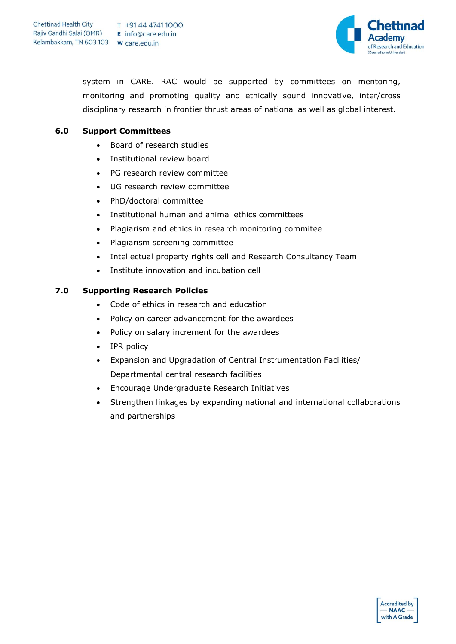

system in CARE. RAC would be supported by committees on mentoring, monitoring and promoting quality and ethically sound innovative, inter/cross disciplinary research in frontier thrust areas of national as well as global interest.

### **6.0 Support Committees**

- Board of research studies
- Institutional review board
- PG research review committee
- UG research review committee
- PhD/doctoral committee
- Institutional human and animal ethics committees
- Plagiarism and ethics in research monitoring commitee
- Plagiarism screening committee
- Intellectual property rights cell and Research Consultancy Team
- Institute innovation and incubation cell

### **7.0 Supporting Research Policies**

- Code of ethics in research and education
- Policy on career advancement for the awardees
- Policy on salary increment for the awardees
- IPR policy
- Expansion and Upgradation of Central Instrumentation Facilities/ Departmental central research facilities
- Encourage Undergraduate Research Initiatives
- Strengthen linkages by expanding national and international collaborations and partnerships

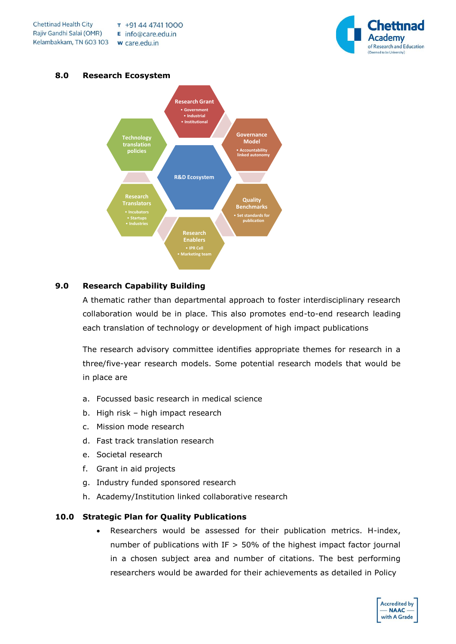

# **8.0 Research Ecosystem**



# **9.0 Research Capability Building**

A thematic rather than departmental approach to foster interdisciplinary research collaboration would be in place. This also promotes end-to-end research leading each translation of technology or development of high impact publications

The research advisory committee identifies appropriate themes for research in a three/five-year research models. Some potential research models that would be in place are

- a. Focussed basic research in medical science
- b. High risk high impact research
- c. Mission mode research
- d. Fast track translation research
- e. Societal research
- f. Grant in aid projects
- g. Industry funded sponsored research
- h. Academy/Institution linked collaborative research

## **10.0 Strategic Plan for Quality Publications**

 Researchers would be assessed for their publication metrics. H-index, number of publications with IF  $>$  50% of the highest impact factor journal in a chosen subject area and number of citations. The best performing researchers would be awarded for their achievements as detailed in Policy

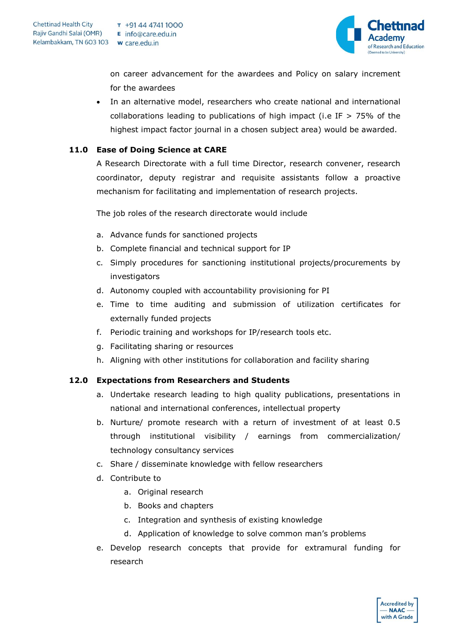

on career advancement for the awardees and Policy on salary increment for the awardees

 In an alternative model, researchers who create national and international collaborations leading to publications of high impact (i.e IF  $>$  75% of the highest impact factor journal in a chosen subject area) would be awarded.

# **11.0 Ease of Doing Science at CARE**

A Research Directorate with a full time Director, research convener, research coordinator, deputy registrar and requisite assistants follow a proactive mechanism for facilitating and implementation of research projects.

The job roles of the research directorate would include

- a. Advance funds for sanctioned projects
- b. Complete financial and technical support for IP
- c. Simply procedures for sanctioning institutional projects/procurements by investigators
- d. Autonomy coupled with accountability provisioning for PI
- e. Time to time auditing and submission of utilization certificates for externally funded projects
- f. Periodic training and workshops for IP/research tools etc.
- g. Facilitating sharing or resources
- h. Aligning with other institutions for collaboration and facility sharing

# **12.0 Expectations from Researchers and Students**

- a. Undertake research leading to high quality publications, presentations in national and international conferences, intellectual property
- b. Nurture/ promote research with a return of investment of at least 0.5 through institutional visibility / earnings from commercialization/ technology consultancy services
- c. Share / disseminate knowledge with fellow researchers
- d. Contribute to
	- a. Original research
	- b. Books and chapters
	- c. Integration and synthesis of existing knowledge
	- d. Application of knowledge to solve common man's problems
- e. Develop research concepts that provide for extramural funding for research